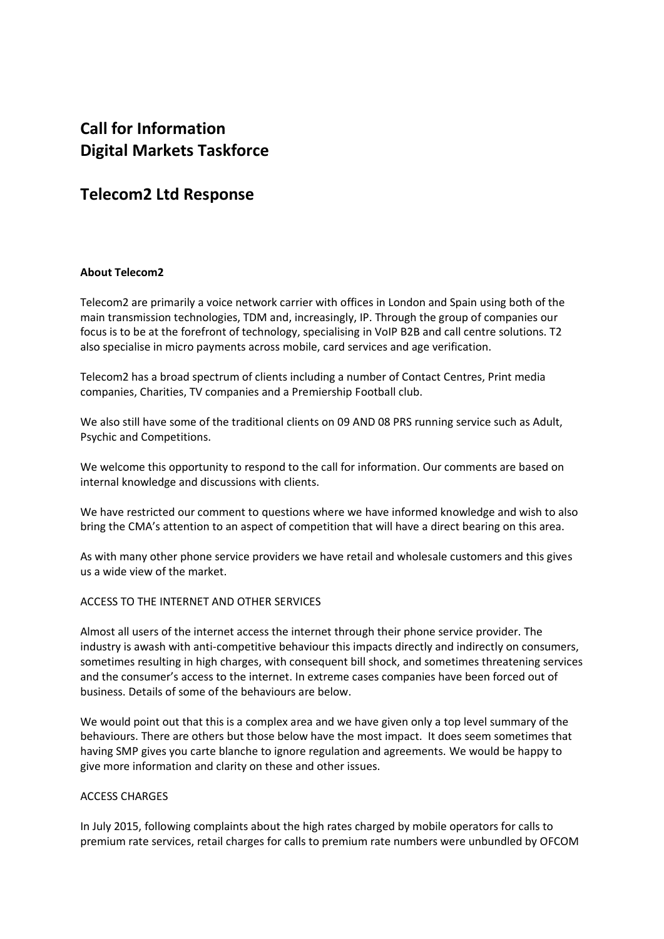# **Call for Information Digital Markets Taskforce**

# **Telecom2 Ltd Response**

# **About Telecom2**

Telecom2 are primarily a voice network carrier with offices in London and Spain using both of the main transmission technologies, TDM and, increasingly, IP. Through the group of companies our focus is to be at the forefront of technology, specialising in VoIP B2B and call centre solutions. T2 also specialise in micro payments across mobile, card services and age verification.

Telecom2 has a broad spectrum of clients including a number of Contact Centres, Print media companies, Charities, TV companies and a Premiership Football club.

We also still have some of the traditional clients on 09 AND 08 PRS running service such as Adult. Psychic and Competitions.

We welcome this opportunity to respond to the call for information. Our comments are based on internal knowledge and discussions with clients.

We have restricted our comment to questions where we have informed knowledge and wish to also bring the CMA's attention to an aspect of competition that will have a direct bearing on this area.

As with many other phone service providers we have retail and wholesale customers and this gives us a wide view of the market.

#### ACCESS TO THE INTERNET AND OTHER SERVICES

Almost all users of the internet access the internet through their phone service provider. The industry is awash with anti-competitive behaviour this impacts directly and indirectly on consumers, sometimes resulting in high charges, with consequent bill shock, and sometimes threatening services and the consumer's access to the internet. In extreme cases companies have been forced out of business. Details of some of the behaviours are below.

We would point out that this is a complex area and we have given only a top level summary of the behaviours. There are others but those below have the most impact. It does seem sometimes that having SMP gives you carte blanche to ignore regulation and agreements. We would be happy to give more information and clarity on these and other issues.

#### ACCESS CHARGES

In July 2015, following complaints about the high rates charged by mobile operators for calls to premium rate services, retail charges for calls to premium rate numbers were unbundled by OFCOM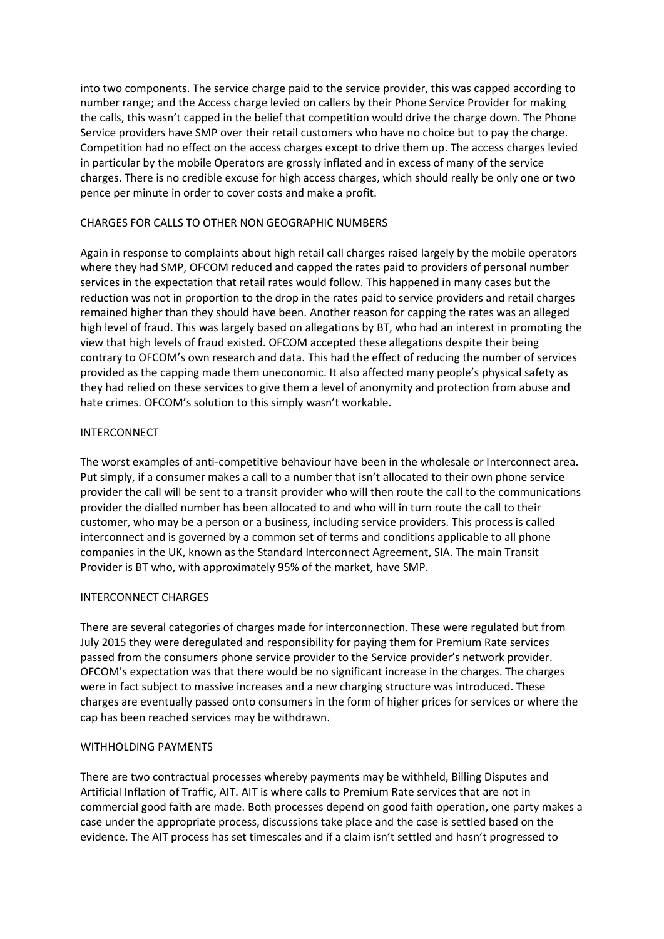into two components. The service charge paid to the service provider, this was capped according to number range; and the Access charge levied on callers by their Phone Service Provider for making the calls, this wasn't capped in the belief that competition would drive the charge down. The Phone Service providers have SMP over their retail customers who have no choice but to pay the charge. Competition had no effect on the access charges except to drive them up. The access charges levied in particular by the mobile Operators are grossly inflated and in excess of many of the service charges. There is no credible excuse for high access charges, which should really be only one or two pence per minute in order to cover costs and make a profit.

## CHARGES FOR CALLS TO OTHER NON GEOGRAPHIC NUMBERS

Again in response to complaints about high retail call charges raised largely by the mobile operators where they had SMP, OFCOM reduced and capped the rates paid to providers of personal number services in the expectation that retail rates would follow. This happened in many cases but the reduction was not in proportion to the drop in the rates paid to service providers and retail charges remained higher than they should have been. Another reason for capping the rates was an alleged high level of fraud. This was largely based on allegations by BT, who had an interest in promoting the view that high levels of fraud existed. OFCOM accepted these allegations despite their being contrary to OFCOM's own research and data. This had the effect of reducing the number of services provided as the capping made them uneconomic. It also affected many people's physical safety as they had relied on these services to give them a level of anonymity and protection from abuse and hate crimes. OFCOM's solution to this simply wasn't workable.

# INTERCONNECT

The worst examples of anti-competitive behaviour have been in the wholesale or Interconnect area. Put simply, if a consumer makes a call to a number that isn't allocated to their own phone service provider the call will be sent to a transit provider who will then route the call to the communications provider the dialled number has been allocated to and who will in turn route the call to their customer, who may be a person or a business, including service providers. This process is called interconnect and is governed by a common set of terms and conditions applicable to all phone companies in the UK, known as the Standard Interconnect Agreement, SIA. The main Transit Provider is BT who, with approximately 95% of the market, have SMP.

# INTERCONNECT CHARGES

There are several categories of charges made for interconnection. These were regulated but from July 2015 they were deregulated and responsibility for paying them for Premium Rate services passed from the consumers phone service provider to the Service provider's network provider. OFCOM's expectation was that there would be no significant increase in the charges. The charges were in fact subject to massive increases and a new charging structure was introduced. These charges are eventually passed onto consumers in the form of higher prices for services or where the cap has been reached services may be withdrawn.

#### WITHHOLDING PAYMENTS

There are two contractual processes whereby payments may be withheld, Billing Disputes and Artificial Inflation of Traffic, AIT. AIT is where calls to Premium Rate services that are not in commercial good faith are made. Both processes depend on good faith operation, one party makes a case under the appropriate process, discussions take place and the case is settled based on the evidence. The AIT process has set timescales and if a claim isn't settled and hasn't progressed to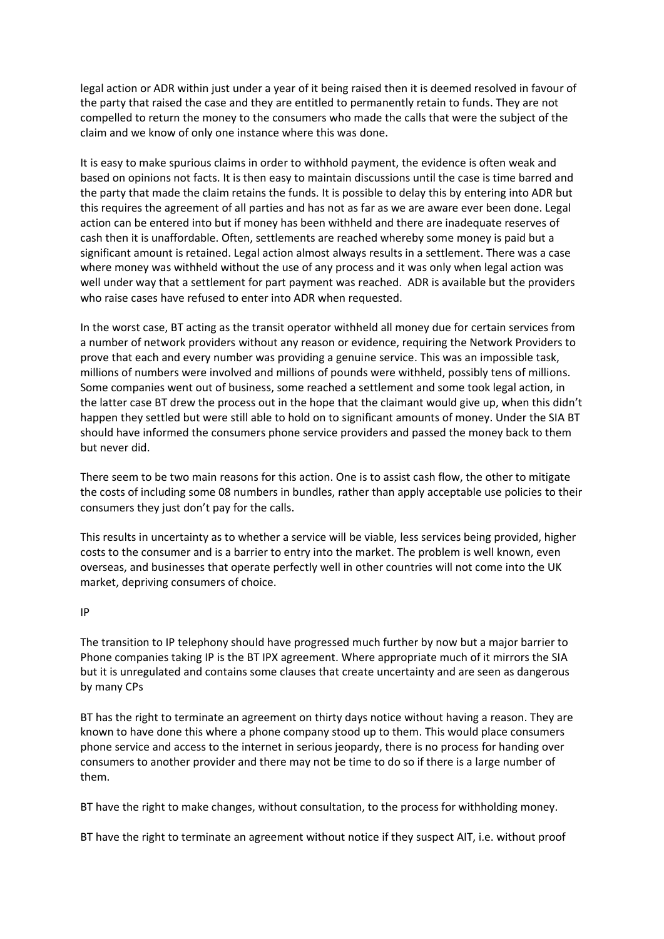legal action or ADR within just under a year of it being raised then it is deemed resolved in favour of the party that raised the case and they are entitled to permanently retain to funds. They are not compelled to return the money to the consumers who made the calls that were the subject of the claim and we know of only one instance where this was done.

It is easy to make spurious claims in order to withhold payment, the evidence is often weak and based on opinions not facts. It is then easy to maintain discussions until the case is time barred and the party that made the claim retains the funds. It is possible to delay this by entering into ADR but this requires the agreement of all parties and has not as far as we are aware ever been done. Legal action can be entered into but if money has been withheld and there are inadequate reserves of cash then it is unaffordable. Often, settlements are reached whereby some money is paid but a significant amount is retained. Legal action almost always results in a settlement. There was a case where money was withheld without the use of any process and it was only when legal action was well under way that a settlement for part payment was reached. ADR is available but the providers who raise cases have refused to enter into ADR when requested.

In the worst case, BT acting as the transit operator withheld all money due for certain services from a number of network providers without any reason or evidence, requiring the Network Providers to prove that each and every number was providing a genuine service. This was an impossible task, millions of numbers were involved and millions of pounds were withheld, possibly tens of millions. Some companies went out of business, some reached a settlement and some took legal action, in the latter case BT drew the process out in the hope that the claimant would give up, when this didn't happen they settled but were still able to hold on to significant amounts of money. Under the SIA BT should have informed the consumers phone service providers and passed the money back to them but never did.

There seem to be two main reasons for this action. One is to assist cash flow, the other to mitigate the costs of including some 08 numbers in bundles, rather than apply acceptable use policies to their consumers they just don't pay for the calls.

This results in uncertainty as to whether a service will be viable, less services being provided, higher costs to the consumer and is a barrier to entry into the market. The problem is well known, even overseas, and businesses that operate perfectly well in other countries will not come into the UK market, depriving consumers of choice.

#### IP

The transition to IP telephony should have progressed much further by now but a major barrier to Phone companies taking IP is the BT IPX agreement. Where appropriate much of it mirrors the SIA but it is unregulated and contains some clauses that create uncertainty and are seen as dangerous by many CPs

BT has the right to terminate an agreement on thirty days notice without having a reason. They are known to have done this where a phone company stood up to them. This would place consumers phone service and access to the internet in serious jeopardy, there is no process for handing over consumers to another provider and there may not be time to do so if there is a large number of them.

BT have the right to make changes, without consultation, to the process for withholding money.

BT have the right to terminate an agreement without notice if they suspect AIT, i.e. without proof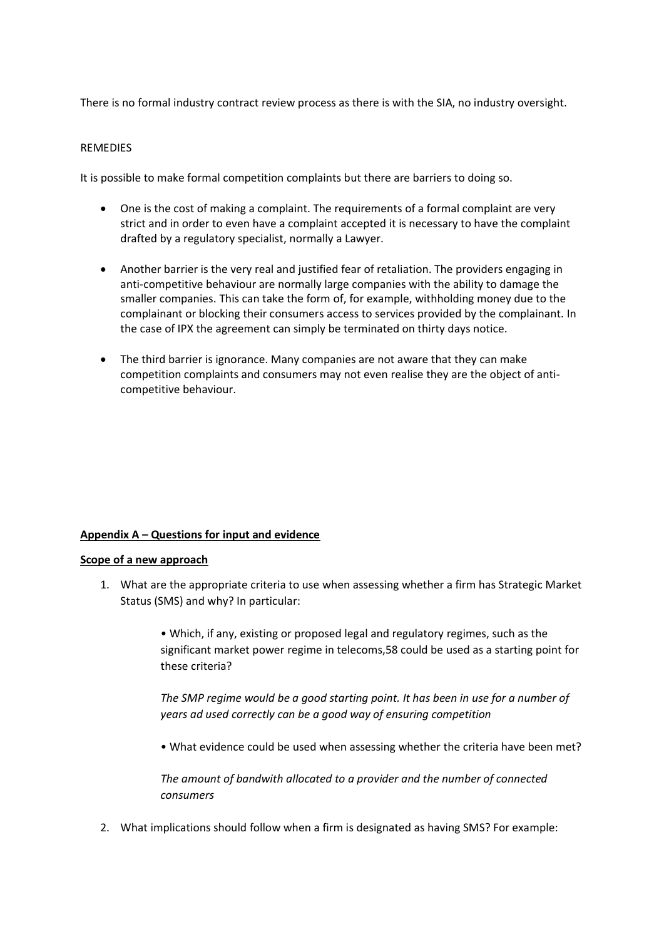There is no formal industry contract review process as there is with the SIA, no industry oversight.

#### **REMEDIES**

It is possible to make formal competition complaints but there are barriers to doing so.

- One is the cost of making a complaint. The requirements of a formal complaint are very strict and in order to even have a complaint accepted it is necessary to have the complaint drafted by a regulatory specialist, normally a Lawyer.
- Another barrier is the very real and justified fear of retaliation. The providers engaging in anti-competitive behaviour are normally large companies with the ability to damage the smaller companies. This can take the form of, for example, withholding money due to the complainant or blocking their consumers access to services provided by the complainant. In the case of IPX the agreement can simply be terminated on thirty days notice.
- The third barrier is ignorance. Many companies are not aware that they can make competition complaints and consumers may not even realise they are the object of anticompetitive behaviour.

#### **Appendix A – Questions for input and evidence**

#### **Scope of a new approach**

1. What are the appropriate criteria to use when assessing whether a firm has Strategic Market Status (SMS) and why? In particular:

> • Which, if any, existing or proposed legal and regulatory regimes, such as the significant market power regime in telecoms,58 could be used as a starting point for these criteria?

*The SMP regime would be a good starting point. It has been in use for a number of years ad used correctly can be a good way of ensuring competition*

• What evidence could be used when assessing whether the criteria have been met?

*The amount of bandwith allocated to a provider and the number of connected consumers*

2. What implications should follow when a firm is designated as having SMS? For example: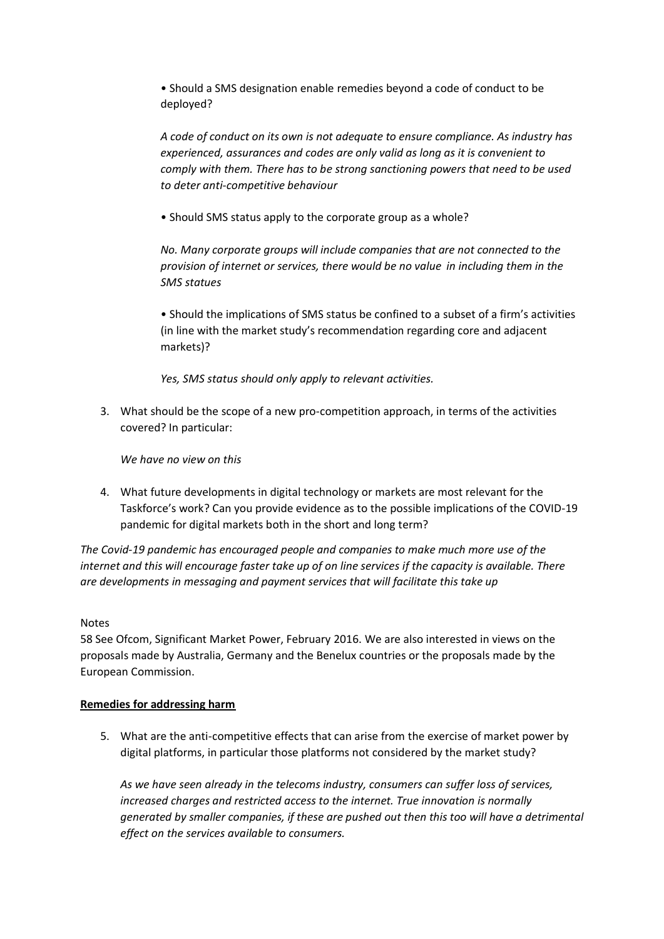• Should a SMS designation enable remedies beyond a code of conduct to be deployed?

*A code of conduct on its own is not adequate to ensure compliance. As industry has experienced, assurances and codes are only valid as long as it is convenient to comply with them. There has to be strong sanctioning powers that need to be used to deter anti-competitive behaviour*

• Should SMS status apply to the corporate group as a whole?

*No. Many corporate groups will include companies that are not connected to the provision of internet or services, there would be no value in including them in the SMS statues*

• Should the implications of SMS status be confined to a subset of a firm's activities (in line with the market study's recommendation regarding core and adjacent markets)?

*Yes, SMS status should only apply to relevant activities.*

3. What should be the scope of a new pro-competition approach, in terms of the activities covered? In particular:

*We have no view on this*

4. What future developments in digital technology or markets are most relevant for the Taskforce's work? Can you provide evidence as to the possible implications of the COVID-19 pandemic for digital markets both in the short and long term?

*The Covid-19 pandemic has encouraged people and companies to make much more use of the internet and this will encourage faster take up of on line services if the capacity is available. There are developments in messaging and payment services that will facilitate this take up*

#### Notes

58 See Ofcom, Significant Market Power, February 2016. We are also interested in views on the proposals made by Australia, Germany and the Benelux countries or the proposals made by the European Commission.

#### **Remedies for addressing harm**

5. What are the anti-competitive effects that can arise from the exercise of market power by digital platforms, in particular those platforms not considered by the market study?

*As we have seen already in the telecoms industry, consumers can suffer loss of services, increased charges and restricted access to the internet. True innovation is normally generated by smaller companies, if these are pushed out then this too will have a detrimental effect on the services available to consumers.*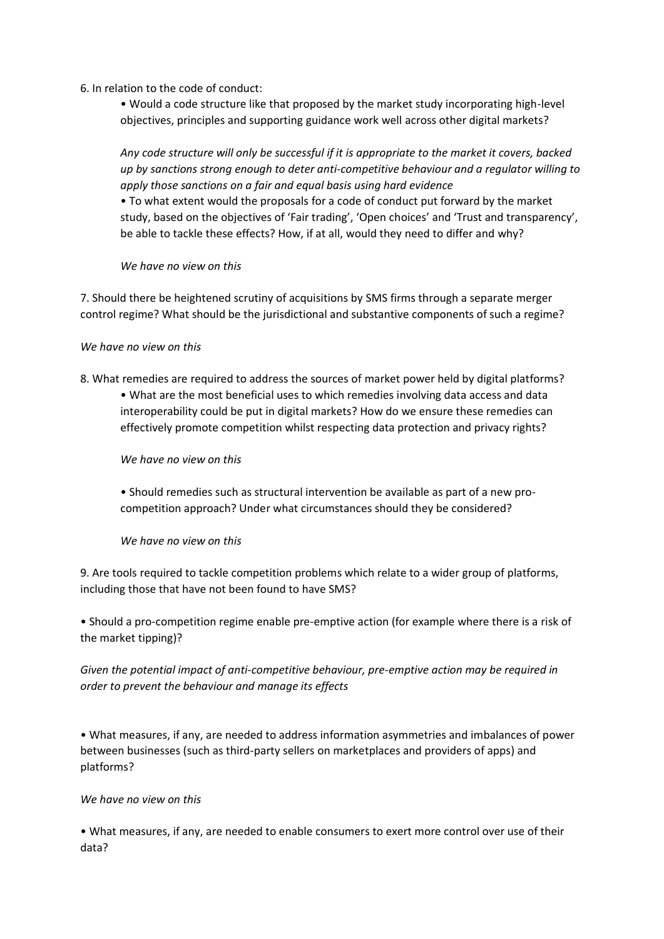6. In relation to the code of conduct:

• Would a code structure like that proposed by the market study incorporating high-level objectives, principles and supporting guidance work well across other digital markets?

*Any code structure will only be successful if it is appropriate to the market it covers, backed up by sanctions strong enough to deter anti-competitive behaviour and a regulator willing to apply those sanctions on a fair and equal basis using hard evidence*

• To what extent would the proposals for a code of conduct put forward by the market study, based on the objectives of 'Fair trading', 'Open choices' and 'Trust and transparency', be able to tackle these effects? How, if at all, would they need to differ and why?

# *We have no view on this*

7. Should there be heightened scrutiny of acquisitions by SMS firms through a separate merger control regime? What should be the jurisdictional and substantive components of such a regime?

# *We have no view on this*

- 8. What remedies are required to address the sources of market power held by digital platforms?
	- What are the most beneficial uses to which remedies involving data access and data interoperability could be put in digital markets? How do we ensure these remedies can effectively promote competition whilst respecting data protection and privacy rights?

*We have no view on this*

• Should remedies such as structural intervention be available as part of a new procompetition approach? Under what circumstances should they be considered?

#### *We have no view on this*

9. Are tools required to tackle competition problems which relate to a wider group of platforms, including those that have not been found to have SMS?

• Should a pro-competition regime enable pre-emptive action (for example where there is a risk of the market tipping)?

*Given the potential impact of anti-competitive behaviour, pre-emptive action may be required in order to prevent the behaviour and manage its effects*

• What measures, if any, are needed to address information asymmetries and imbalances of power between businesses (such as third-party sellers on marketplaces and providers of apps) and platforms?

#### *We have no view on this*

• What measures, if any, are needed to enable consumers to exert more control over use of their data?